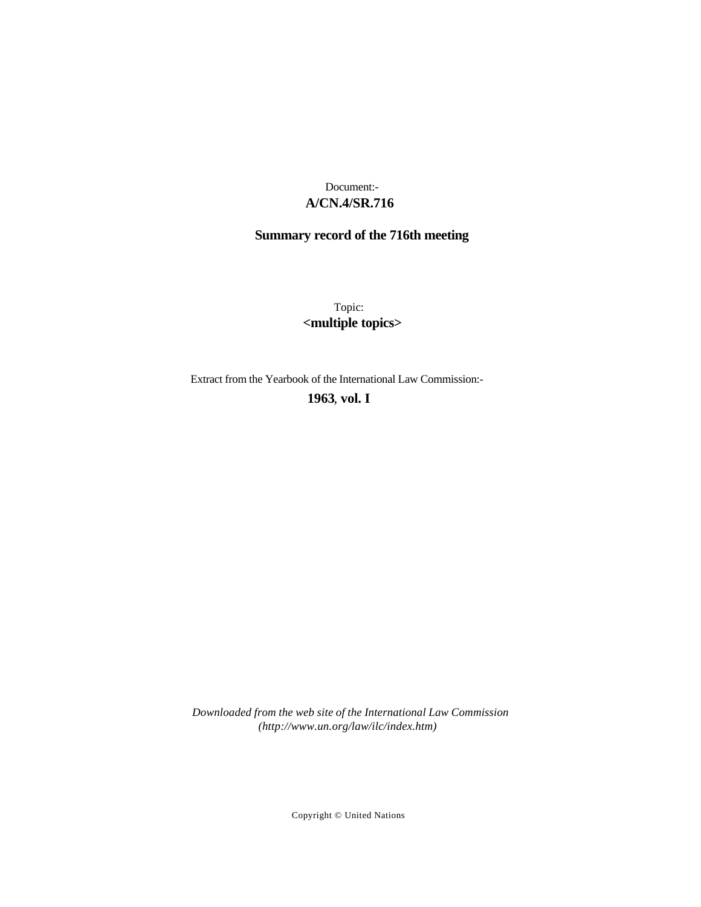# **A/CN.4/SR.716** Document:-

# **Summary record of the 716th meeting**

Topic: **<multiple topics>**

Extract from the Yearbook of the International Law Commission:-

**1963** , **vol. I**

*Downloaded from the web site of the International Law Commission (http://www.un.org/law/ilc/index.htm)*

Copyright © United Nations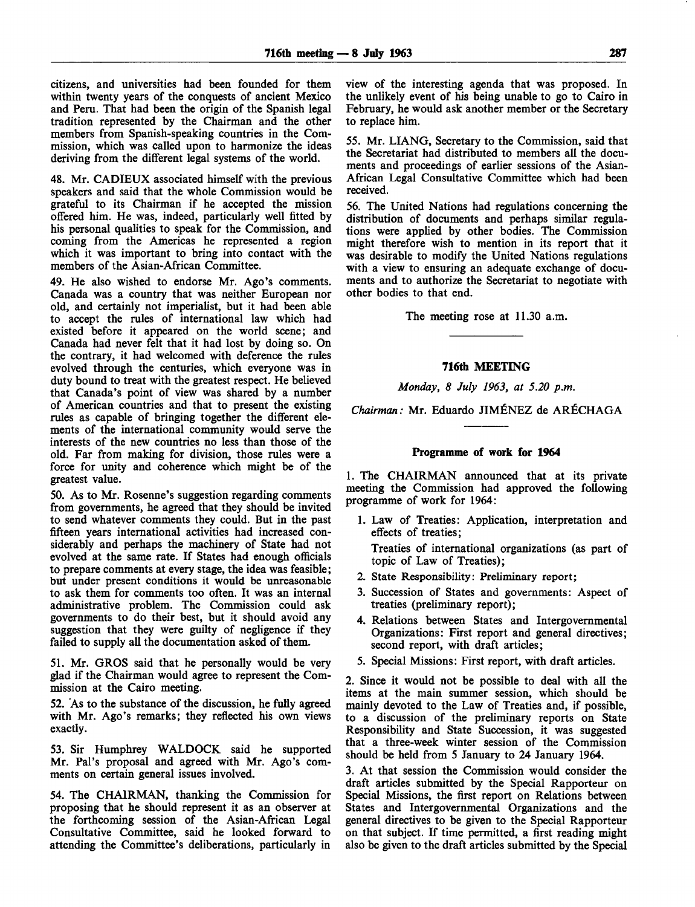citizens, and universities had been founded for them within twenty years of the conquests of ancient Mexico and Peru. That had been the origin of the Spanish legal tradition represented by the Chairman and the other members from Spanish-speaking countries in the Commission, which was called upon to harmonize the ideas deriving from the different legal systems of the world.

48. Mr. CADIEUX associated himself with the previous speakers and said that the whole Commission would be grateful to its Chairman if he accepted the mission offered him. He was, indeed, particularly well fitted by his personal qualities to speak for the Commission, and coming from the Americas he represented a region which it was important to bring into contact with the members of the Asian-African Committee.

49. He also wished to endorse Mr. Ago's comments. Canada was a country that was neither European nor old, and certainly not imperialist, but it had been able to accept the rules of international law which had existed before it appeared on the world scene; and Canada had never felt that it had lost by doing so. On the contrary, it had welcomed with deference the rules evolved through the centuries, which everyone was in duty bound to treat with the greatest respect. He believed that Canada's point of view was shared by a number of American countries and that to present the existing rules as capable of bringing together the different elements of the international community would serve the interests of the new countries no less than those of the old. Far from making for division, those rules were a force for unity and coherence which might be of the greatest value.

50. As to Mr. Rosenne's suggestion regarding comments from governments, he agreed that they should be invited to send whatever comments they could. But in the past fifteen years international activities had increased considerably and perhaps the machinery of State had not evolved at the same rate. If States had enough officials to prepare comments at every stage, the idea was feasible; but under present conditions it would be unreasonable to ask them for comments too often. It was an internal administrative problem. The Commission could ask governments to do their best, but it should avoid any suggestion that they were guilty of negligence if they failed to supply all the documentation asked of them.

51. Mr. GROS said that he personally would be very glad if the Chairman would agree to represent the Commission at the Cairo meeting.

52. As to the substance of the discussion, he fully agreed with Mr. Ago's remarks; they reflected his own views exactly.

53. Sir Humphrey WALDOCK said he supported Mr. Pal's proposal and agreed with Mr. Ago's comments on certain general issues involved.

54. The CHAIRMAN, thanking the Commission for proposing that he should represent it as an observer at the forthcoming session of the Asian-African Legal Consultative Committee, said he looked forward to attending the Committee's deliberations, particularly in view of the interesting agenda that was proposed. In the unlikely event of his being unable to go to Cairo in February, he would ask another member or the Secretary to replace him.

55. Mr. LIANG, Secretary to the Commission, said that the Secretariat had distributed to members all the documents and proceedings of earlier sessions of the Asian-African Legal Consultative Committee which had been received.

56. The United Nations had regulations concerning the distribution of documents and perhaps similar regulations were applied by other bodies. The Commission might therefore wish to mention in its report that it was desirable to modify the United Nations regulations with a view to ensuring an adequate exchange of documents and to authorize the Secretariat to negotiate with other bodies to that end.

The meeting rose at 11.30 a.m.

#### **716th MEETING**

*Monday, 8 July 1963, at 5.20 p.m.*

*Chairman:* Mr. Eduardo JIMENEZ de ARECHAGA

#### **Programme of work for 1964**

1. The CHAIRMAN announced that at its private meeting the Commission had approved the following programme of work for 1964:

- 1. Law of Treaties: Application, interpretation and effects of treaties; Treaties of international organizations (as part of topic of Law of Treaties);
- 2. State Responsibility: Preliminary report;
- 3. Succession of States and governments: Aspect of treaties (preliminary report);
- 4. Relations between States and Intergovernmental Organizations: First report and general directives; second report, with draft articles;
- 5. Special Missions: First report, with draft articles.

2. Since it would not be possible to deal with all the items at the main summer session, which should be mainly devoted to the Law of Treaties and, if possible, to a discussion of the preliminary reports on State Responsibility and State Succession, it was suggested that a three-week winter session of the Commission should be held from 5 January to 24 January 1964.

3. At that session the Commission would consider the draft articles submitted by the Special Rapporteur on Special Missions, the first report on Relations between States and Intergovernmental Organizations and the general directives to be given to the Special Rapporteur on that subject. If time permitted, a first reading might also be given to the draft articles submitted by the Special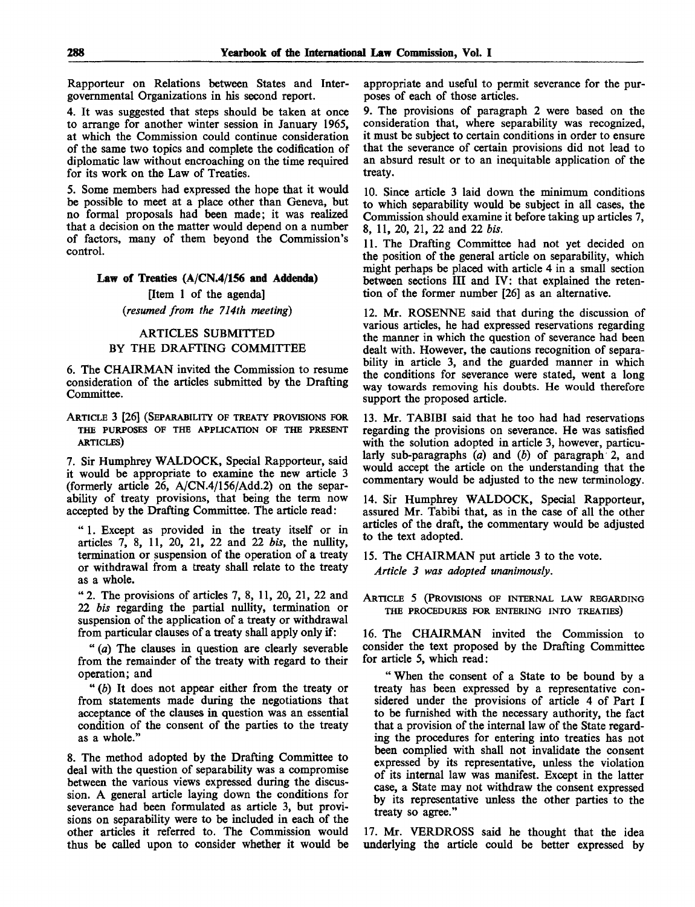Rapporteur on Relations between States and Intergovernmental Organizations in his second report.

4. It was suggested that steps should be taken at once to arrange for another winter session in January 1965, at which the Commission could continue consideration of the same two topics and complete the codification of diplomatic law without encroaching on the time required for its work on the Law of Treaties.

5. Some members had expressed the hope that it would be possible to meet at a place other than Geneva, but no formal proposals had been made; it was realized that a decision on the matter would depend on a number of factors, many of them beyond the Commission's control.

## **Law of Treaties (A/CN.4/156 and Addenda)**

[Item 1 of the agenda] *{resumed from the 714th meeting)*

## ARTICLES SUBMITTED BY THE DRAFTING COMMITTEE

6. The CHAIRMAN invited the Commission to resume consideration of the articles submitted by the Drafting Committee.

ARTICLE 3 [26] (SEPARABILITY OF TREATY PROVISIONS FOR THE PURPOSES OF THE APPLICATION OF THE PRESENT ARTICLES)

7. Sir Humphrey WALDOCK, Special Rapporteur, said it would be appropriate to examine the new article 3 (formerly article 26, A/CN.4/156/Add.2) on the separability of treaty provisions, that being the term now accepted by the Drafting Committee. The article read:

" 1. Except as provided in the treaty itself or in articles 7, 8, 11, 20, 21, 22 and 22 *bis,* the nullity, termination or suspension of the operation of a treaty or withdrawal from a treaty shall relate to the treaty as a whole.

" 2. The provisions of articles 7, 8, 11, 20, 21, 22 and 22 *bis* regarding the partial nullity, termination or suspension of the application of a treaty or withdrawal from particular clauses of a treaty shall apply only if:

" *(a)* The clauses in question are clearly severable from the remainder of the treaty with regard to their operation; and

" *(b)* It does not appear either from the treaty or from statements made during the negotiations that acceptance of the clauses in question was an essential condition of the consent of the parties to the treaty as a whole."

8. The method adopted by the Drafting Committee to deal with the question of separability was a compromise between the various views expressed during the discussion. A general article laying down the conditions for severance had been formulated as article 3, but provisions on separability were to be included in each of the other articles it referred to. The Commission would thus be called upon to consider whether it would be appropriate and useful to permit severance for the purposes of each of those articles.

9. The provisions of paragraph 2 were based on the consideration that, where separability was recognized, it must be subject to certain conditions in order to ensure that the severance of certain provisions did not lead to an absurd result or to an inequitable application of the treaty.

10. Since article 3 laid down the minimum conditions to which separability would be subject in all cases, the Commission should examine it before taking up articles 7, 8, 11,20,21, 22 and 22 *bis.*

11. The Drafting Committee had not yet decided on the position of the general article on separability, which might perhaps be placed with article 4 in a small section between sections III and IV: that explained the retention of the former number [26] as an alternative.

12. Mr. ROSENNE said that during the discussion of various articles, he had expressed reservations regarding the manner in which the question of severance had been dealt with. However, the cautions recognition of separability in article 3, and the guarded manner in which the conditions for severance were stated, went a long way towards removing his doubts. He would therefore support the proposed article.

13. Mr. TABIBI said that he too had had reservations regarding the provisions on severance. He was satisfied with the solution adopted in article 3, however, particularly sub-paragraphs *(a)* and *(b)* of paragraph 2, and would accept the article on the understanding that the commentary would be adjusted to the new terminology.

14. Sir Humphrey WALDOCK, Special Rapporteur, assured Mr. Tabibi that, as in the case of all the other articles of the draft, the commentary would be adjusted to the text adopted.

15. The CHAIRMAN put article 3 to the vote. *Article 3 was adopted unanimously.*

ARTICLE 5 (PROVISIONS OF INTERNAL LAW REGARDING THE PROCEDURES FOR ENTERING INTO TREATIES)

16. The CHAIRMAN invited the Commission to consider the text proposed by the Drafting Committee for article 5, which read:

" When the consent of a State to be bound by a treaty has been expressed by a representative considered under the provisions of article 4 of Part I to be furnished with the necessary authority, the fact that a provision of the internal law of the State regarding the procedures for entering into treaties has not been complied with shall not invalidate the consent expressed by its representative, unless the violation of its internal law was manifest. Except in the latter case, a State may not withdraw the consent expressed by its representative unless the other parties to the treaty so agree."

17. Mr. VERDROSS said he thought that the idea underlying the article could be better expressed by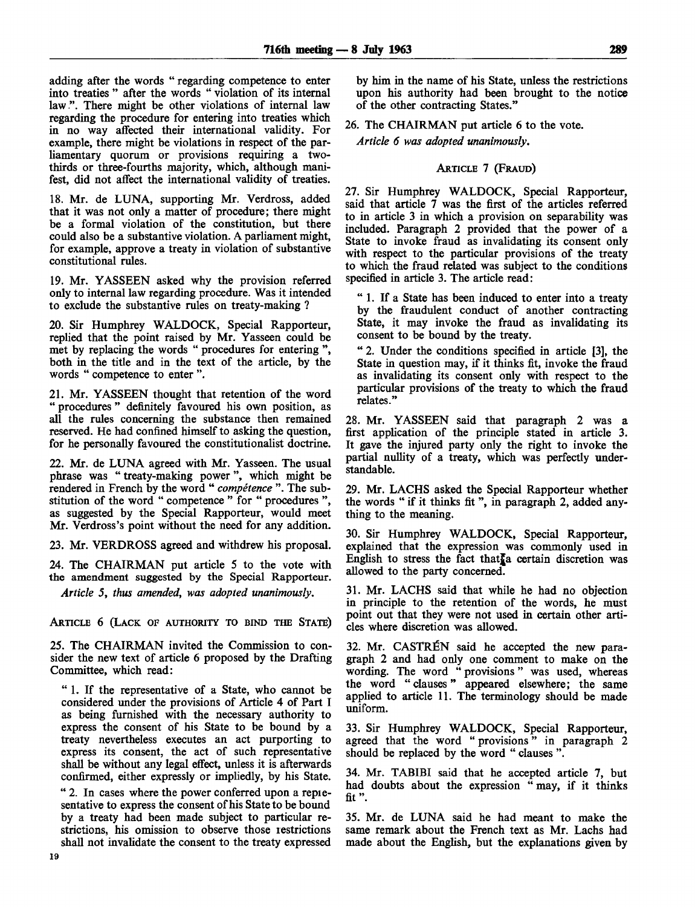adding after the words " regarding competence to enter into treaties " after the words " violation of its internal law.". There might be other violations of internal law regarding the procedure for entering into treaties which in no way affected their international validity. For example, there might be violations in respect of the parliamentary quorum or provisions requiring a twothirds or three-fourths majority, which, although manifest, did not affect the international validity of treaties.

18. Mr. de LUNA, supporting Mr. Verdross, added that it was not only a matter of procedure; there might be a formal violation of the constitution, but there could also be a substantive violation. A parliament might, for example, approve a treaty in violation of substantive constitutional rules.

19. Mr. YASSEEN asked why the provision referred only to internal law regarding procedure. Was it intended to exclude the substantive rules on treaty-making ?

20. Sir Humphrey WALDOCK, Special Rapporteur, replied that the point raised by Mr. Yasseen could be met by replacing the words " procedures for entering ", both in the title and in the text of the article, by the words " competence to enter ".

21. Mr. YASSEEN thought that retention of the word " procedures " definitely favoured his own position, as all the rules concerning the substance then remained reserved. He had confined himself to asking the question, for he personally favoured the constitutionalist doctrine.

22. Mr. de LUNA agreed with Mr. Yasseen. The usual phrase was " treaty-making power", which might be rendered in French by the word " *competence* ". The substitution of the word " competence " for " procedures ", as suggested by the Special Rapporteur, would meet Mr. Verdross's point without the need for any addition.

23. Mr. VERDROSS agreed and withdrew his proposal.

24. The CHAIRMAN put article 5 to the vote with the amendment suggested by the Special Rapporteur.

*Article* 5, *thus amended, was adopted unanimously.*

ARTICLE 6 (LACK OF AUTHORITY TO BIND THE STATE)

25. The CHAIRMAN invited the Commission to consider the new text of article 6 proposed by the Drafting Committee, which read:

" 1. If the representative of a State, who cannot be considered under the provisions of Article 4 of Part I as being furnished with the necessary authority to express the consent of his State to be bound by a treaty nevertheless executes an act purporting to express its consent, the act of such representative shall be without any legal effect, unless it is afterwards confirmed, either expressly or impliedly, by his State.

" 2. In cases where the power conferred upon a repiesentative to express the consent of his State to be bound by a treaty had been made subject to particular restrictions, his omission to observe those restrictions shall not invalidate the consent to the treaty expressed by him in the name of his State, unless the restrictions upon his authority had been brought to the notice of the other contracting States."

26. The CHAIRMAN put article 6 to the vote.

*Article 6 was adopted unanimously.*

## ARTICLE 7 (FRAUD)

27. Sir Humphrey WALDOCK, Special Rapporteur, said that article 7 was the first of the articles referred to in article 3 in which a provision on separability was included. Paragraph 2 provided that the power of a State to invoke fraud as invalidating its consent only with respect to the particular provisions of the treaty to which the fraud related was subject to the conditions specified in article 3. The article read:

" 1 . If a State has been induced to enter into a treaty by the fraudulent conduct of another contracting State, it may invoke the fraud as invalidating its consent to be bound by the treaty.

" 2. Under the conditions specified in article [3], the State in question may, if it thinks fit, invoke the fraud as invalidating its consent only with respect to the particular provisions of the treaty to which the fraud relates."

28. Mr. YASSEEN said that paragraph 2 was a first application of the principle stated in article 3. It gave the injured party only the right to invoke the partial nullity of a treaty, which was perfectly understandable.

29. Mr. LACHS asked the Special Rapporteur whether the words " if it thinks fit ", in paragraph 2, added anything to the meaning.

30. Sir Humphrey WALDOCK, Special Rapporteur, explained that the expression was commonly used in English to stress the fact that a certain discretion was allowed to the party concerned.

31. Mr. LACHS said that while he had no objection in principle to the retention of the words, he must point out that they were not used in certain other articles where discretion was allowed.

32. Mr. CASTRÉN said he accepted the new paragraph 2 and had only one comment to make on the wording. The word " provisions" was used, whereas the word " clauses" appeared elsewhere; the same applied to article 11. The terminology should be made uniform.

33. Sir Humphrey WALDOCK, Special Rapporteur, agreed that the word " provisions" in paragraph 2 should be replaced by the word " clauses ".

34. Mr. TABIBI said that he accepted article 7, but had doubts about the expression " may, if it thinks fit".

35. Mr. de LUNA said he had meant to make the same remark about the French text as Mr. Lachs had made about the English, but the explanations given by